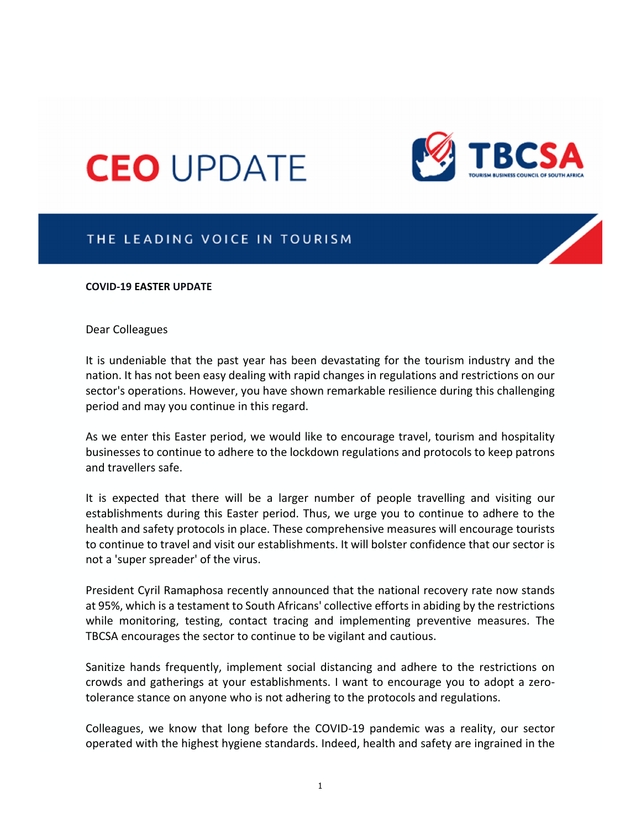# **CEO UPDATE**



## THE LEADING VOICE IN TOURISM

### **COVID‐19 EASTER UPDATE**

### Dear Colleagues

It is undeniable that the past year has been devastating for the tourism industry and the nation. It has not been easy dealing with rapid changes in regulations and restrictions on our sector's operations. However, you have shown remarkable resilience during this challenging period and may you continue in this regard.

As we enter this Easter period, we would like to encourage travel, tourism and hospitality businesses to continue to adhere to the lockdown regulations and protocols to keep patrons and travellers safe.

It is expected that there will be a larger number of people travelling and visiting our establishments during this Easter period. Thus, we urge you to continue to adhere to the health and safety protocols in place. These comprehensive measures will encourage tourists to continue to travel and visit our establishments. It will bolster confidence that our sector is not a 'super spreader' of the virus.

President Cyril Ramaphosa recently announced that the national recovery rate now stands at 95%, which is a testament to South Africans' collective effortsin abiding by the restrictions while monitoring, testing, contact tracing and implementing preventive measures. The TBCSA encourages the sector to continue to be vigilant and cautious.

Sanitize hands frequently, implement social distancing and adhere to the restrictions on crowds and gatherings at your establishments. I want to encourage you to adopt a zero‐ tolerance stance on anyone who is not adhering to the protocols and regulations.

Colleagues, we know that long before the COVID‐19 pandemic was a reality, our sector operated with the highest hygiene standards. Indeed, health and safety are ingrained in the